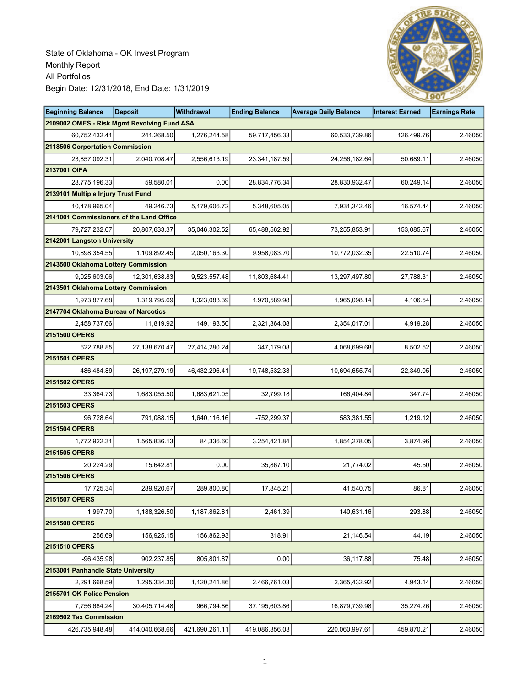

| <b>Beginning Balance</b>                    | <b>Deposit</b>   | <b>Withdrawal</b> | <b>Ending Balance</b> | <b>Average Daily Balance</b> | <b>Interest Earned</b> | <b>Earnings Rate</b> |
|---------------------------------------------|------------------|-------------------|-----------------------|------------------------------|------------------------|----------------------|
| 2109002 OMES - Risk Mgmt Revolving Fund ASA |                  |                   |                       |                              |                        |                      |
| 60,752,432.41                               | 241,268.50       | 1,276,244.58      | 59,717,456.33         | 60,533,739.86                | 126,499.76             | 2.46050              |
| 2118506 Corportation Commission             |                  |                   |                       |                              |                        |                      |
| 23,857,092.31                               | 2,040,708.47     | 2,556,613.19      | 23,341,187.59         | 24,256,182.64                | 50,689.11              | 2.46050              |
| 2137001 OIFA                                |                  |                   |                       |                              |                        |                      |
| 28,775,196.33                               | 59,580.01        | 0.00              | 28,834,776.34         | 28,830,932.47                | 60,249.14              | 2.46050              |
| 2139101 Multiple Injury Trust Fund          |                  |                   |                       |                              |                        |                      |
| 10,478,965.04                               | 49,246.73        | 5,179,606.72      | 5,348,605.05          | 7,931,342.46                 | 16,574.44              | 2.46050              |
| 2141001 Commissioners of the Land Office    |                  |                   |                       |                              |                        |                      |
| 79,727,232.07                               | 20,807,633.37    | 35,046,302.52     | 65,488,562.92         | 73,255,853.91                | 153,085.67             | 2.46050              |
| 2142001 Langston University                 |                  |                   |                       |                              |                        |                      |
| 10,898,354.55                               | 1,109,892.45     | 2,050,163.30      | 9,958,083.70          | 10,772,032.35                | 22,510.74              | 2.46050              |
| 2143500 Oklahoma Lottery Commission         |                  |                   |                       |                              |                        |                      |
| 9,025,603.06                                | 12,301,638.83    | 9,523,557.48      | 11,803,684.41         | 13,297,497.80                | 27,788.31              | 2.46050              |
| 2143501 Oklahoma Lottery Commission         |                  |                   |                       |                              |                        |                      |
| 1,973,877.68                                | 1,319,795.69     | 1,323,083.39      | 1,970,589.98          | 1,965,098.14                 | 4,106.54               | 2.46050              |
| 2147704 Oklahoma Bureau of Narcotics        |                  |                   |                       |                              |                        |                      |
| 2,458,737.66                                | 11,819.92        | 149,193.50        | 2,321,364.08          | 2,354,017.01                 | 4,919.28               | 2.46050              |
| 2151500 OPERS                               |                  |                   |                       |                              |                        |                      |
| 622,788.85                                  | 27,138,670.47    | 27,414,280.24     | 347,179.08            | 4,068,699.68                 | 8,502.52               | 2.46050              |
| 2151501 OPERS                               |                  |                   |                       |                              |                        |                      |
| 486,484.89                                  | 26, 197, 279. 19 | 46,432,296.41     | -19,748,532.33        | 10,694,655.74                | 22,349.05              | 2.46050              |
| 2151502 OPERS                               |                  |                   |                       |                              |                        |                      |
| 33,364.73                                   | 1,683,055.50     | 1,683,621.05      | 32,799.18             | 166,404.84                   | 347.74                 | 2.46050              |
| 2151503 OPERS                               |                  |                   |                       |                              |                        |                      |
| 96,728.64                                   | 791,088.15       | 1,640,116.16      | -752,299.37           | 583,381.55                   | 1,219.12               | 2.46050              |
| 2151504 OPERS                               |                  |                   |                       |                              |                        |                      |
| 1,772,922.31                                | 1,565,836.13     | 84,336.60         | 3,254,421.84          | 1,854,278.05                 | 3,874.96               | 2.46050              |
| 2151505 OPERS                               |                  |                   |                       |                              |                        |                      |
| 20,224.29                                   | 15,642.81        | 0.00              | 35,867.10             | 21,774.02                    | 45.50                  | 2.46050              |
| 2151506 OPERS                               |                  |                   |                       |                              |                        |                      |
| 17,725.34                                   | 289,920.67       | 289,800.80        | 17,845.21             | 41,540.75                    | 86.81                  | 2.46050              |
| 2151507 OPERS                               |                  |                   |                       |                              |                        |                      |
| 1,997.70                                    | 1,188,326.50     | 1,187,862.81      | 2,461.39              | 140,631.16                   | 293.88                 | 2.46050              |
| 2151508 OPERS                               |                  |                   |                       |                              |                        |                      |
| 256.69                                      | 156,925.15       | 156,862.93        | 318.91                | 21,146.54                    | 44.19                  | 2.46050              |
| <b>2151510 OPERS</b>                        |                  |                   |                       |                              |                        |                      |
| $-96,435.98$                                | 902,237.85       | 805,801.87        | 0.00                  | 36,117.88                    | 75.48                  | 2.46050              |
| 2153001 Panhandle State University          |                  |                   |                       |                              |                        |                      |
| 2,291,668.59                                | 1,295,334.30     | 1,120,241.86      | 2,466,761.03          | 2,365,432.92                 | 4,943.14               | 2.46050              |
| 2155701 OK Police Pension                   |                  |                   |                       |                              |                        |                      |
| 7,756,684.24                                | 30,405,714.48    | 966,794.86        | 37,195,603.86         | 16,879,739.98                | 35,274.26              | 2.46050              |
| 2169502 Tax Commission                      |                  |                   |                       |                              |                        |                      |
| 426,735,948.48                              | 414,040,668.66   | 421,690,261.11    | 419,086,356.03        | 220,060,997.61               | 459,870.21             | 2.46050              |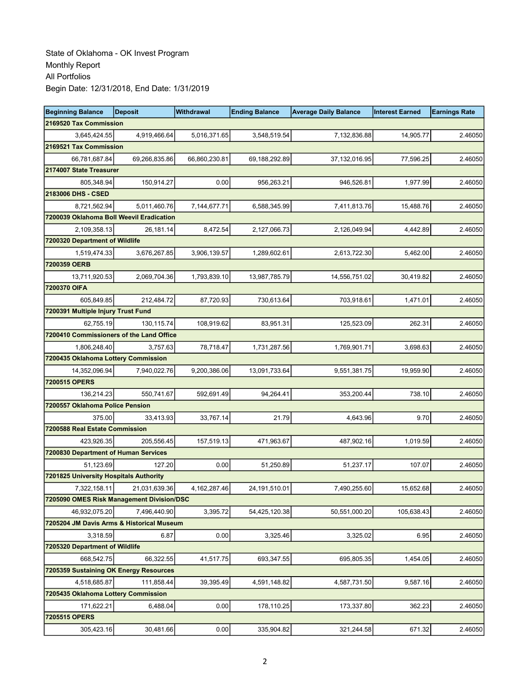| <b>Beginning Balance</b>                  | <b>Deposit</b> | Withdrawal    | <b>Ending Balance</b> | <b>Average Daily Balance</b> | <b>Interest Earned</b> | <b>Earnings Rate</b> |
|-------------------------------------------|----------------|---------------|-----------------------|------------------------------|------------------------|----------------------|
| 2169520 Tax Commission                    |                |               |                       |                              |                        |                      |
| 3,645,424.55                              | 4,919,466.64   | 5,016,371.65  | 3,548,519.54          | 7,132,836.88                 | 14,905.77              | 2.46050              |
| 2169521 Tax Commission                    |                |               |                       |                              |                        |                      |
| 66,781,687.84                             | 69,266,835.86  | 66,860,230.81 | 69,188,292.89         | 37,132,016.95                | 77,596.25              | 2.46050              |
| 2174007 State Treasurer                   |                |               |                       |                              |                        |                      |
| 805,348.94                                | 150,914.27     | 0.00          | 956,263.21            | 946,526.81                   | 1,977.99               | 2.46050              |
| 2183006 DHS - CSED                        |                |               |                       |                              |                        |                      |
| 8,721,562.94                              | 5,011,460.76   | 7,144,677.71  | 6,588,345.99          | 7,411,813.76                 | 15,488.76              | 2.46050              |
| 7200039 Oklahoma Boll Weevil Eradication  |                |               |                       |                              |                        |                      |
| 2,109,358.13                              | 26,181.14      | 8,472.54      | 2,127,066.73          | 2,126,049.94                 | 4,442.89               | 2.46050              |
| 7200320 Department of Wildlife            |                |               |                       |                              |                        |                      |
| 1,519,474.33                              | 3,676,267.85   | 3,906,139.57  | 1,289,602.61          | 2,613,722.30                 | 5,462.00               | 2.46050              |
| 7200359 OERB                              |                |               |                       |                              |                        |                      |
| 13,711,920.53                             | 2,069,704.36   | 1,793,839.10  | 13,987,785.79         | 14,556,751.02                | 30,419.82              | 2.46050              |
| 7200370 OIFA                              |                |               |                       |                              |                        |                      |
| 605.849.85                                | 212,484.72     | 87,720.93     | 730,613.64            | 703,918.61                   | 1,471.01               | 2.46050              |
| 7200391 Multiple Injury Trust Fund        |                |               |                       |                              |                        |                      |
| 62,755.19                                 | 130,115.74     | 108,919.62    | 83,951.31             | 125,523.09                   | 262.31                 | 2.46050              |
| 7200410 Commissioners of the Land Office  |                |               |                       |                              |                        |                      |
| 1,806,248.40                              | 3,757.63       | 78,718.47     | 1,731,287.56          | 1,769,901.71                 | 3,698.63               | 2.46050              |
| 7200435 Oklahoma Lottery Commission       |                |               |                       |                              |                        |                      |
| 14,352,096.94                             | 7,940,022.76   | 9,200,386.06  | 13,091,733.64         | 9,551,381.75                 | 19,959.90              | 2.46050              |
| 7200515 OPERS                             |                |               |                       |                              |                        |                      |
| 136,214.23                                | 550,741.67     | 592,691.49    | 94,264.41             | 353,200.44                   | 738.10                 | 2.46050              |
| 7200557 Oklahoma Police Pension           |                |               |                       |                              |                        |                      |
| 375.00                                    | 33,413.93      | 33,767.14     | 21.79                 | 4,643.96                     | 9.70                   | 2.46050              |
| 7200588 Real Estate Commission            |                |               |                       |                              |                        |                      |
| 423,926.35                                | 205,556.45     | 157,519.13    | 471,963.67            | 487,902.16                   | 1,019.59               | 2.46050              |
| 7200830 Department of Human Services      |                |               |                       |                              |                        |                      |
| 51,123.69                                 | 127.20         | 0.00          | 51,250.89             | 51,237.17                    | 107.07                 | 2.46050              |
| 7201825 University Hospitals Authority    |                |               |                       |                              |                        |                      |
| 7,322,158.11                              | 21,031,639.36  | 4,162,287.46  | 24,191,510.01         | 7,490,255.60                 | 15,652.68              | 2.46050              |
| 7205090 OMES Risk Management Division/DSC |                |               |                       |                              |                        |                      |
| 46,932,075.20                             | 7,496,440.90   | 3,395.72      | 54,425,120.38         | 50,551,000.20                | 105,638.43             | 2.46050              |
| 7205204 JM Davis Arms & Historical Museum |                |               |                       |                              |                        |                      |
| 3,318.59                                  | 6.87           | 0.00          | 3,325.46              | 3,325.02                     | 6.95                   | 2.46050              |
| 7205320 Department of Wildlife            |                |               |                       |                              |                        |                      |
| 668,542.75                                | 66,322.55      | 41,517.75     | 693,347.55            | 695,805.35                   | 1,454.05               | 2.46050              |
| 7205359 Sustaining OK Energy Resources    |                |               |                       |                              |                        |                      |
| 4,518,685.87                              | 111,858.44     | 39,395.49     | 4,591,148.82          | 4,587,731.50                 | 9,587.16               | 2.46050              |
| 7205435 Oklahoma Lottery Commission       |                |               |                       |                              |                        |                      |
| 171,622.21                                | 6,488.04       | 0.00          | 178,110.25            | 173,337.80                   | 362.23                 | 2.46050              |
| 7205515 OPERS                             |                |               |                       |                              |                        |                      |
| 305,423.16                                | 30,481.66      | 0.00          | 335,904.82            | 321,244.58                   | 671.32                 | 2.46050              |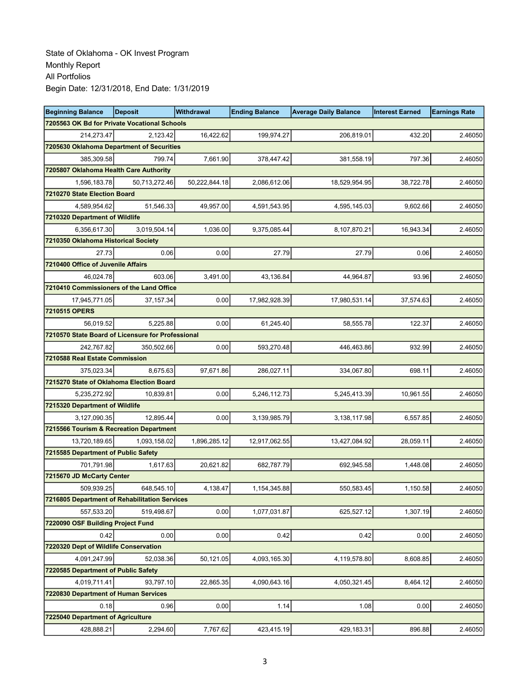| <b>Beginning Balance</b>                          | <b>Deposit</b> | <b>Withdrawal</b> | <b>Ending Balance</b> | <b>Average Daily Balance</b> | <b>Interest Earned</b> | <b>Earnings Rate</b> |
|---------------------------------------------------|----------------|-------------------|-----------------------|------------------------------|------------------------|----------------------|
| 7205563 OK Bd for Private Vocational Schools      |                |                   |                       |                              |                        |                      |
| 214,273.47                                        | 2,123.42       | 16,422.62         | 199,974.27            | 206,819.01                   | 432.20                 | 2.46050              |
| 7205630 Oklahoma Department of Securities         |                |                   |                       |                              |                        |                      |
| 385,309.58                                        | 799.74         | 7,661.90          | 378,447.42            | 381,558.19                   | 797.36                 | 2.46050              |
| 7205807 Oklahoma Health Care Authority            |                |                   |                       |                              |                        |                      |
| 1,596,183.78                                      | 50,713,272.46  | 50,222,844.18     | 2,086,612.06          | 18,529,954.95                | 38,722.78              | 2.46050              |
| 7210270 State Election Board                      |                |                   |                       |                              |                        |                      |
| 4,589,954.62                                      | 51,546.33      | 49,957.00         | 4,591,543.95          | 4,595,145.03                 | 9,602.66               | 2.46050              |
| 7210320 Department of Wildlife                    |                |                   |                       |                              |                        |                      |
| 6,356,617.30                                      | 3.019.504.14   | 1,036.00          | 9,375,085.44          | 8,107,870.21                 | 16,943.34              | 2.46050              |
| 7210350 Oklahoma Historical Society               |                |                   |                       |                              |                        |                      |
| 27.73                                             | 0.06           | 0.00              | 27.79                 | 27.79                        | 0.06                   | 2.46050              |
| 7210400 Office of Juvenile Affairs                |                |                   |                       |                              |                        |                      |
| 46,024.78                                         | 603.06         | 3,491.00          | 43,136.84             | 44,964.87                    | 93.96                  | 2.46050              |
| 7210410 Commissioners of the Land Office          |                |                   |                       |                              |                        |                      |
| 17,945,771.05                                     | 37, 157.34     | 0.00              | 17,982,928.39         | 17,980,531.14                | 37,574.63              | 2.46050              |
| 7210515 OPERS                                     |                |                   |                       |                              |                        |                      |
| 56,019.52                                         | 5,225.88       | 0.00              | 61,245.40             | 58,555.78                    | 122.37                 | 2.46050              |
| 7210570 State Board of Licensure for Professional |                |                   |                       |                              |                        |                      |
| 242,767.82                                        | 350,502.66     | 0.00              | 593,270.48            | 446,463.86                   | 932.99                 | 2.46050              |
| 7210588 Real Estate Commission                    |                |                   |                       |                              |                        |                      |
| 375,023.34                                        | 8,675.63       | 97,671.86         | 286,027.11            | 334,067.80                   | 698.11                 | 2.46050              |
| 7215270 State of Oklahoma Election Board          |                |                   |                       |                              |                        |                      |
| 5,235,272.92                                      | 10,839.81      | 0.00              | 5,246,112.73          | 5,245,413.39                 | 10,961.55              | 2.46050              |
| 7215320 Department of Wildlife                    |                |                   |                       |                              |                        |                      |
| 3,127,090.35                                      | 12,895.44      | 0.00              | 3,139,985.79          | 3,138,117.98                 | 6,557.85               | 2.46050              |
| 7215566 Tourism & Recreation Department           |                |                   |                       |                              |                        |                      |
| 13,720,189.65                                     | 1,093,158.02   | 1,896,285.12      | 12,917,062.55         | 13,427,084.92                | 28,059.11              | 2.46050              |
| 7215585 Department of Public Safety               |                |                   |                       |                              |                        |                      |
| 701,791.98                                        | 1,617.63       | 20,621.82         | 682,787.79            | 692,945.58                   | 1,448.08               | 2.46050              |
| 7215670 JD McCarty Center                         |                |                   |                       |                              |                        |                      |
| 509,939.25                                        | 648,545.10     | 4,138.47          | 1,154,345.88          | 550,583.45                   | 1,150.58               | 2.46050              |
| 7216805 Department of Rehabilitation Services     |                |                   |                       |                              |                        |                      |
| 557,533.20                                        | 519,498.67     | 0.00              | 1,077,031.87          | 625,527.12                   | 1,307.19               | 2.46050              |
| 7220090 OSF Building Project Fund                 |                |                   |                       |                              |                        |                      |
| 0.42                                              | 0.00           | 0.00              | 0.42                  | 0.42                         | 0.00                   | 2.46050              |
| 7220320 Dept of Wildlife Conservation             |                |                   |                       |                              |                        |                      |
| 4,091,247.99                                      | 52,038.36      | 50,121.05         | 4,093,165.30          | 4,119,578.80                 | 8,608.85               | 2.46050              |
| 7220585 Department of Public Safety               |                |                   |                       |                              |                        |                      |
| 4,019,711.41                                      | 93,797.10      | 22,865.35         | 4,090,643.16          | 4,050,321.45                 | 8,464.12               | 2.46050              |
| 7220830 Department of Human Services              |                |                   |                       |                              |                        |                      |
| 0.18                                              | 0.96           | 0.00              | 1.14                  | 1.08                         | 0.00                   | 2.46050              |
| 7225040 Department of Agriculture                 |                |                   |                       |                              |                        |                      |
| 428,888.21                                        | 2,294.60       | 7,767.62          | 423,415.19            | 429,183.31                   | 896.88                 | 2.46050              |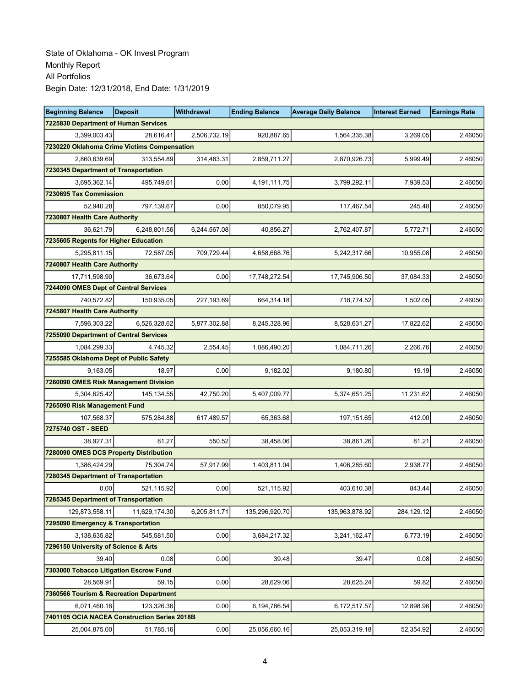| <b>Beginning Balance</b>                     | <b>Deposit</b> | Withdrawal   | <b>Ending Balance</b> | <b>Average Daily Balance</b> | <b>Interest Earned</b> | <b>Earnings Rate</b> |
|----------------------------------------------|----------------|--------------|-----------------------|------------------------------|------------------------|----------------------|
| <b>7225830 Department of Human Services</b>  |                |              |                       |                              |                        |                      |
| 3,399,003.43                                 | 28.616.41      | 2,506,732.19 | 920,887.65            | 1,564,335.38                 | 3,269.05               | 2.46050              |
| 7230220 Oklahoma Crime Victims Compensation  |                |              |                       |                              |                        |                      |
| 2,860,639.69                                 | 313,554.89     | 314,483.31   | 2,859,711.27          | 2,870,926.73                 | 5,999.49               | 2.46050              |
| 7230345 Department of Transportation         |                |              |                       |                              |                        |                      |
| 3,695,362.14                                 | 495,749.61     | 0.00         | 4,191,111.75          | 3,799,292.11                 | 7,939.53               | 2.46050              |
| 7230695 Tax Commission                       |                |              |                       |                              |                        |                      |
| 52,940.28                                    | 797,139.67     | 0.00         | 850,079.95            | 117,467.54                   | 245.48                 | 2.46050              |
| 7230807 Health Care Authority                |                |              |                       |                              |                        |                      |
| 36.621.79                                    | 6,248,801.56   | 6,244,567.08 | 40,856.27             | 2,762,407.87                 | 5,772.71               | 2.46050              |
| 7235605 Regents for Higher Education         |                |              |                       |                              |                        |                      |
| 5,295,811.15                                 | 72,587.05      | 709,729.44   | 4,658,668.76          | 5,242,317.66                 | 10,955.08              | 2.46050              |
| 7240807 Health Care Authority                |                |              |                       |                              |                        |                      |
| 17,711,598.90                                | 36,673.64      | 0.00         | 17,748,272.54         | 17,745,906.50                | 37,084.33              | 2.46050              |
| 7244090 OMES Dept of Central Services        |                |              |                       |                              |                        |                      |
| 740,572.82                                   | 150,935.05     | 227,193.69   | 664,314.18            | 718,774.52                   | 1,502.05               | 2.46050              |
| 7245807 Health Care Authority                |                |              |                       |                              |                        |                      |
| 7,596,303.22                                 | 6,526,328.62   | 5,877,302.88 | 8,245,328.96          | 8,528,631.27                 | 17,822.62              | 2.46050              |
| 7255090 Department of Central Services       |                |              |                       |                              |                        |                      |
| 1,084,299.33                                 | 4,745.32       | 2,554.45     | 1,086,490.20          | 1,084,711.26                 | 2,266.76               | 2.46050              |
| 7255585 Oklahoma Dept of Public Safety       |                |              |                       |                              |                        |                      |
| 9,163.05                                     | 18.97          | 0.00         | 9,182.02              | 9,180.80                     | 19.19                  | 2.46050              |
| 7260090 OMES Risk Management Division        |                |              |                       |                              |                        |                      |
| 5,304,625.42                                 | 145,134.55     | 42,750.20    | 5,407,009.77          | 5,374,651.25                 | 11,231.62              | 2.46050              |
| 7265090 Risk Management Fund                 |                |              |                       |                              |                        |                      |
| 107,568.37                                   | 575,284.88     | 617,489.57   | 65,363.68             | 197, 151.65                  | 412.00                 | 2.46050              |
| 7275740 OST - SEED                           |                |              |                       |                              |                        |                      |
| 38,927.31                                    | 81.27          | 550.52       | 38,458.06             | 38,861.26                    | 81.21                  | 2.46050              |
| 7280090 OMES DCS Property Distribution       |                |              |                       |                              |                        |                      |
| 1,386,424.29                                 | 75,304.74      | 57,917.99    | 1,403,811.04          | 1,406,285.60                 | 2,938.77               | 2.46050              |
| 7280345 Department of Transportation         |                |              |                       |                              |                        |                      |
| 0.00                                         | 521,115.92     | 0.00         | 521,115.92            | 403,610.38                   | 843.44                 | 2.46050              |
| 7285345 Department of Transportation         |                |              |                       |                              |                        |                      |
| 129,873,558.11                               | 11.629.174.30  | 6,205,811.71 | 135,296,920.70        | 135,963,878.92               | 284,129.12             | 2.46050              |
| 7295090 Emergency & Transportation           |                |              |                       |                              |                        |                      |
| 3,138,635.82                                 | 545,581.50     | 0.00         | 3,684,217.32          | 3,241,162.47                 | 6,773.19               | 2.46050              |
| 7296150 University of Science & Arts         |                |              |                       |                              |                        |                      |
| 39.40                                        | 0.08           | 0.00         | 39.48                 | 39.47                        | 0.08                   | 2.46050              |
| 7303000 Tobacco Litigation Escrow Fund       |                |              |                       |                              |                        |                      |
| 28,569.91                                    | 59.15          | 0.00         | 28,629.06             | 28,625.24                    | 59.82                  | 2.46050              |
| 7360566 Tourism & Recreation Department      |                |              |                       |                              |                        |                      |
| 6,071,460.18                                 | 123,326.36     | 0.00         | 6,194,786.54          | 6,172,517.57                 | 12,898.96              | 2.46050              |
| 7401105 OCIA NACEA Construction Series 2018B |                |              |                       |                              |                        |                      |
| 25,004,875.00                                | 51,785.16      | 0.00         | 25,056,660.16         | 25,053,319.18                | 52,354.92              | 2.46050              |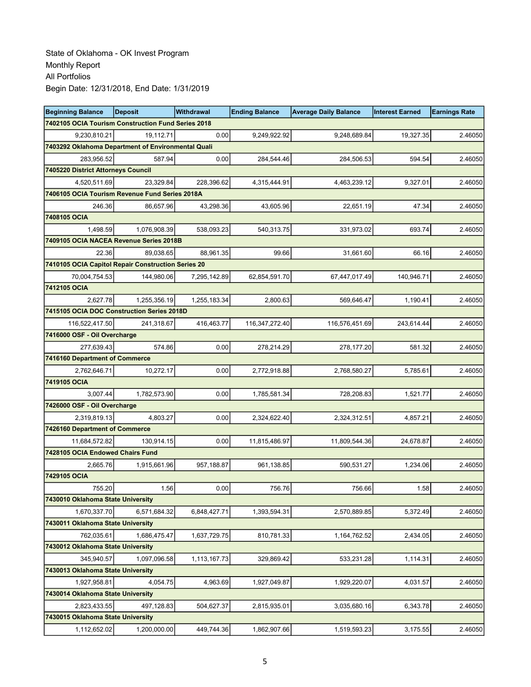| <b>Beginning Balance</b>                           | <b>Deposit</b> | Withdrawal   | <b>Ending Balance</b> | <b>Average Daily Balance</b> | <b>Interest Earned</b> | <b>Earnings Rate</b> |
|----------------------------------------------------|----------------|--------------|-----------------------|------------------------------|------------------------|----------------------|
| 7402105 OCIA Tourism Construction Fund Series 2018 |                |              |                       |                              |                        |                      |
| 9,230,810.21                                       | 19,112.71      | 0.00         | 9,249,922.92          | 9,248,689.84                 | 19,327.35              | 2.46050              |
| 7403292 Oklahoma Department of Environmental Quali |                |              |                       |                              |                        |                      |
| 283,956.52                                         | 587.94         | 0.00         | 284,544.46            | 284,506.53                   | 594.54                 | 2.46050              |
| 7405220 District Attorneys Council                 |                |              |                       |                              |                        |                      |
| 4,520,511.69                                       | 23,329.84      | 228,396.62   | 4,315,444.91          | 4,463,239.12                 | 9,327.01               | 2.46050              |
| 7406105 OCIA Tourism Revenue Fund Series 2018A     |                |              |                       |                              |                        |                      |
| 246.36                                             | 86,657.96      | 43,298.36    | 43,605.96             | 22,651.19                    | 47.34                  | 2.46050              |
| 7408105 OCIA                                       |                |              |                       |                              |                        |                      |
| 1,498.59                                           | 1,076,908.39   | 538,093.23   | 540,313.75            | 331,973.02                   | 693.74                 | 2.46050              |
| 7409105 OCIA NACEA Revenue Series 2018B            |                |              |                       |                              |                        |                      |
| 22.36                                              | 89,038.65      | 88,961.35    | 99.66                 | 31,661.60                    | 66.16                  | 2.46050              |
| 7410105 OCIA Capitol Repair Construction Series 20 |                |              |                       |                              |                        |                      |
| 70,004,754.53                                      | 144,980.06     | 7,295,142.89 | 62,854,591.70         | 67,447,017.49                | 140,946.71             | 2.46050              |
| 7412105 OCIA                                       |                |              |                       |                              |                        |                      |
| 2,627.78                                           | 1.255.356.19   | 1,255,183.34 | 2,800.63              | 569,646.47                   | 1,190.41               | 2.46050              |
| 7415105 OCIA DOC Construction Series 2018D         |                |              |                       |                              |                        |                      |
| 116,522,417.50                                     | 241,318.67     | 416,463.77   | 116, 347, 272. 40     | 116,576,451.69               | 243,614.44             | 2.46050              |
| 7416000 OSF - Oil Overcharge                       |                |              |                       |                              |                        |                      |
| 277,639.43                                         | 574.86         | 0.00         | 278,214.29            | 278,177.20                   | 581.32                 | 2.46050              |
| 7416160 Department of Commerce                     |                |              |                       |                              |                        |                      |
| 2,762,646.71                                       | 10,272.17      | 0.00         | 2,772,918.88          | 2,768,580.27                 | 5,785.61               | 2.46050              |
| 7419105 OCIA                                       |                |              |                       |                              |                        |                      |
| 3,007.44                                           | 1,782,573.90   | 0.00         | 1,785,581.34          | 728,208.83                   | 1,521.77               | 2.46050              |
| 7426000 OSF - Oil Overcharge                       |                |              |                       |                              |                        |                      |
| 2,319,819.13                                       | 4,803.27       | 0.00         | 2,324,622.40          | 2,324,312.51                 | 4,857.21               | 2.46050              |
| 7426160 Department of Commerce                     |                |              |                       |                              |                        |                      |
| 11,684,572.82                                      | 130,914.15     | 0.00         | 11,815,486.97         | 11,809,544.36                | 24,678.87              | 2.46050              |
| 7428105 OCIA Endowed Chairs Fund                   |                |              |                       |                              |                        |                      |
| 2,665.76                                           | 1,915,661.96   | 957,188.87   | 961,138.85            | 590,531.27                   | 1,234.06               | 2.46050              |
| 7429105 OCIA                                       |                |              |                       |                              |                        |                      |
| 755.20                                             | 1.56           | 0.00         | 756.76                | 756.66                       | 1.58                   | 2.46050              |
| 7430010 Oklahoma State University                  |                |              |                       |                              |                        |                      |
| 1,670,337.70                                       | 6.571.684.32   | 6,848,427.71 | 1,393,594.31          | 2,570,889.85                 | 5,372.49               | 2.46050              |
| 7430011 Oklahoma State University                  |                |              |                       |                              |                        |                      |
| 762,035.61                                         | 1,686,475.47   | 1,637,729.75 | 810,781.33            | 1,164,762.52                 | 2,434.05               | 2.46050              |
| 7430012 Oklahoma State University                  |                |              |                       |                              |                        |                      |
| 345.940.57                                         | 1,097,096.58   | 1,113,167.73 | 329,869.42            | 533,231.28                   | 1,114.31               | 2.46050              |
| 7430013 Oklahoma State University                  |                |              |                       |                              |                        |                      |
| 1,927,958.81                                       | 4,054.75       | 4,963.69     | 1,927,049.87          | 1,929,220.07                 | 4,031.57               | 2.46050              |
| 7430014 Oklahoma State University                  |                |              |                       |                              |                        |                      |
| 2,823,433.55                                       | 497,128.83     | 504,627.37   | 2,815,935.01          | 3,035,680.16                 | 6,343.78               | 2.46050              |
| 7430015 Oklahoma State University                  |                |              |                       |                              |                        |                      |
| 1,112,652.02                                       | 1,200,000.00   | 449,744.36   | 1,862,907.66          | 1,519,593.23                 | 3,175.55               | 2.46050              |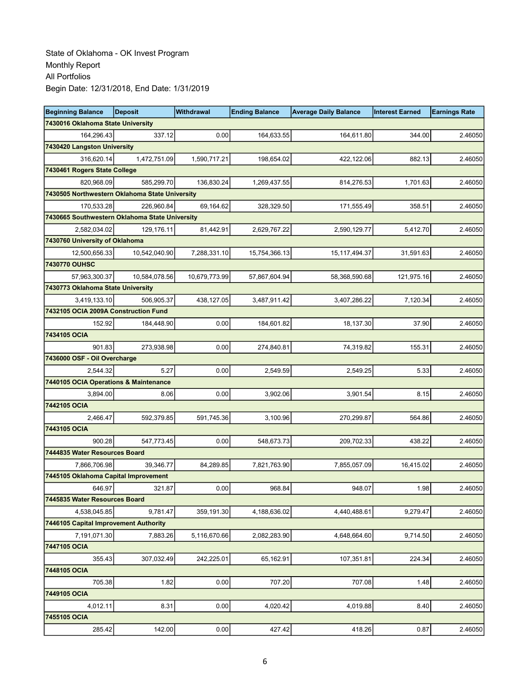| <b>Beginning Balance</b>                       | <b>Deposit</b> | Withdrawal    | <b>Ending Balance</b> | <b>Average Daily Balance</b> | <b>Interest Earned</b> | <b>Earnings Rate</b> |
|------------------------------------------------|----------------|---------------|-----------------------|------------------------------|------------------------|----------------------|
| 7430016 Oklahoma State University              |                |               |                       |                              |                        |                      |
| 164,296.43                                     | 337.12         | 0.00          | 164,633.55            | 164,611.80                   | 344.00                 | 2.46050              |
| 7430420 Langston University                    |                |               |                       |                              |                        |                      |
| 316,620.14                                     | 1,472,751.09   | 1,590,717.21  | 198,654.02            | 422,122.06                   | 882.13                 | 2.46050              |
| 7430461 Rogers State College                   |                |               |                       |                              |                        |                      |
| 820,968.09                                     | 585,299.70     | 136,830.24    | 1,269,437.55          | 814,276.53                   | 1,701.63               | 2.46050              |
| 7430505 Northwestern Oklahoma State University |                |               |                       |                              |                        |                      |
| 170,533.28                                     | 226,960.84     | 69,164.62     | 328,329.50            | 171,555.49                   | 358.51                 | 2.46050              |
| 7430665 Southwestern Oklahoma State University |                |               |                       |                              |                        |                      |
| 2,582,034.02                                   | 129,176.11     | 81,442.91     | 2,629,767.22          | 2,590,129.77                 | 5,412.70               | 2.46050              |
| 7430760 University of Oklahoma                 |                |               |                       |                              |                        |                      |
| 12,500,656.33                                  | 10,542,040.90  | 7,288,331.10  | 15,754,366.13         | 15, 117, 494. 37             | 31,591.63              | 2.46050              |
| 7430770 OUHSC                                  |                |               |                       |                              |                        |                      |
| 57,963,300.37                                  | 10,584,078.56  | 10,679,773.99 | 57,867,604.94         | 58,368,590.68                | 121,975.16             | 2.46050              |
| 7430773 Oklahoma State University              |                |               |                       |                              |                        |                      |
| 3,419,133.10                                   | 506,905.37     | 438,127.05    | 3,487,911.42          | 3,407,286.22                 | 7,120.34               | 2.46050              |
| 7432105 OCIA 2009A Construction Fund           |                |               |                       |                              |                        |                      |
| 152.92                                         | 184,448.90     | 0.00          | 184,601.82            | 18,137.30                    | 37.90                  | 2.46050              |
| 7434105 OCIA                                   |                |               |                       |                              |                        |                      |
| 901.83                                         | 273,938.98     | 0.00          | 274,840.81            | 74,319.82                    | 155.31                 | 2.46050              |
| 7436000 OSF - Oil Overcharge                   |                |               |                       |                              |                        |                      |
| 2,544.32                                       | 5.27           | 0.00          | 2,549.59              | 2,549.25                     | 5.33                   | 2.46050              |
| 7440105 OCIA Operations & Maintenance          |                |               |                       |                              |                        |                      |
| 3,894.00                                       | 8.06           | 0.00          | 3,902.06              | 3,901.54                     | 8.15                   | 2.46050              |
| 7442105 OCIA                                   |                |               |                       |                              |                        |                      |
| 2,466.47                                       | 592,379.85     | 591,745.36    | 3,100.96              | 270,299.87                   | 564.86                 | 2.46050              |
| 7443105 OCIA                                   |                |               |                       |                              |                        |                      |
| 900.28                                         | 547,773.45     | 0.00          | 548,673.73            | 209,702.33                   | 438.22                 | 2.46050              |
| 7444835 Water Resources Board                  |                |               |                       |                              |                        |                      |
| 7,866,706.98                                   | 39,346.77      | 84,289.85     | 7,821,763.90          | 7,855,057.09                 | 16,415.02              | 2.46050              |
| 7445105 Oklahoma Capital Improvement           |                |               |                       |                              |                        |                      |
| 646.97                                         | 321.87         | 0.00          | 968.84                | 948.07                       | 1.98                   | 2.46050              |
| 7445835 Water Resources Board                  |                |               |                       |                              |                        |                      |
| 4,538,045.85                                   | 9,781.47       | 359,191.30    | 4,188,636.02          | 4.440.488.61                 | 9,279.47               | 2.46050              |
| 7446105 Capital Improvement Authority          |                |               |                       |                              |                        |                      |
| 7,191,071.30                                   | 7,883.26       | 5,116,670.66  | 2,082,283.90          | 4,648,664.60                 | 9,714.50               | 2.46050              |
| 7447105 OCIA                                   |                |               |                       |                              |                        |                      |
| 355.43                                         | 307,032.49     | 242,225.01    | 65,162.91             | 107,351.81                   | 224.34                 | 2.46050              |
| 7448105 OCIA                                   |                |               |                       |                              |                        |                      |
| 705.38                                         | 1.82           | 0.00          | 707.20                | 707.08                       | 1.48                   | 2.46050              |
| 7449105 OCIA                                   |                |               |                       |                              |                        |                      |
| 4,012.11                                       | 8.31           | 0.00          | 4,020.42              | 4,019.88                     | 8.40                   | 2.46050              |
| 7455105 OCIA                                   |                |               |                       |                              |                        |                      |
| 285.42                                         | 142.00         | 0.00          | 427.42                | 418.26                       | 0.87                   | 2.46050              |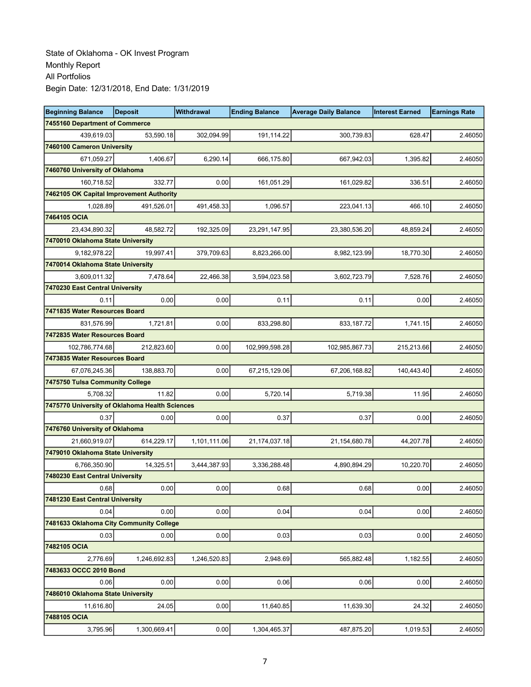| <b>Beginning Balance</b>                       | <b>Deposit</b> | <b>Withdrawal</b> | <b>Ending Balance</b> | <b>Average Daily Balance</b> | <b>Interest Earned</b> | <b>Earnings Rate</b> |
|------------------------------------------------|----------------|-------------------|-----------------------|------------------------------|------------------------|----------------------|
| 7455160 Department of Commerce                 |                |                   |                       |                              |                        |                      |
| 439,619.03                                     | 53,590.18      | 302,094.99        | 191,114.22            | 300,739.83                   | 628.47                 | 2.46050              |
| 7460100 Cameron University                     |                |                   |                       |                              |                        |                      |
| 671,059.27                                     | 1,406.67       | 6,290.14          | 666,175.80            | 667,942.03                   | 1,395.82               | 2.46050              |
| 7460760 University of Oklahoma                 |                |                   |                       |                              |                        |                      |
| 160,718.52                                     | 332.77         | 0.00              | 161,051.29            | 161,029.82                   | 336.51                 | 2.46050              |
| 7462105 OK Capital Improvement Authority       |                |                   |                       |                              |                        |                      |
| 1,028.89                                       | 491,526.01     | 491,458.33        | 1,096.57              | 223,041.13                   | 466.10                 | 2.46050              |
| 7464105 OCIA                                   |                |                   |                       |                              |                        |                      |
| 23,434,890.32                                  | 48,582.72      | 192,325.09        | 23,291,147.95         | 23,380,536.20                | 48,859.24              | 2.46050              |
| 7470010 Oklahoma State University              |                |                   |                       |                              |                        |                      |
| 9,182,978.22                                   | 19,997.41      | 379,709.63        | 8,823,266.00          | 8,982,123.99                 | 18,770.30              | 2.46050              |
| 7470014 Oklahoma State University              |                |                   |                       |                              |                        |                      |
| 3,609,011.32                                   | 7,478.64       | 22,466.38         | 3,594,023.58          | 3,602,723.79                 | 7,528.76               | 2.46050              |
| 7470230 East Central University                |                |                   |                       |                              |                        |                      |
| 0.11                                           | 0.00           | 0.00              | 0.11                  | 0.11                         | 0.00                   | 2.46050              |
| 7471835 Water Resources Board                  |                |                   |                       |                              |                        |                      |
| 831,576.99                                     | 1,721.81       | 0.00              | 833,298.80            | 833,187.72                   | 1,741.15               | 2.46050              |
| 7472835 Water Resources Board                  |                |                   |                       |                              |                        |                      |
| 102,786,774.68                                 | 212,823.60     | 0.00              | 102,999,598.28        | 102,985,867.73               | 215,213.66             | 2.46050              |
| 7473835 Water Resources Board                  |                |                   |                       |                              |                        |                      |
| 67,076,245.36                                  | 138,883.70     | 0.00              | 67,215,129.06         | 67,206,168.82                | 140,443.40             | 2.46050              |
| 7475750 Tulsa Community College                |                |                   |                       |                              |                        |                      |
| 5,708.32                                       | 11.82          | 0.00              | 5,720.14              | 5,719.38                     | 11.95                  | 2.46050              |
| 7475770 University of Oklahoma Health Sciences |                |                   |                       |                              |                        |                      |
| 0.37                                           | 0.00           | 0.00              | 0.37                  | 0.37                         | 0.00                   | 2.46050              |
| 7476760 University of Oklahoma                 |                |                   |                       |                              |                        |                      |
| 21,660,919.07                                  | 614,229.17     | 1,101,111.06      | 21,174,037.18         | 21,154,680.78                | 44,207.78              | 2.46050              |
| 7479010 Oklahoma State University              |                |                   |                       |                              |                        |                      |
| 6,766,350.90                                   | 14,325.51      | 3,444,387.93      | 3,336,288.48          | 4,890,894.29                 | 10,220.70              | 2.46050              |
| 7480230 East Central University                |                |                   |                       |                              |                        |                      |
| 0.68                                           | 0.00           | 0.00              | 0.68                  | 0.68                         | 0.00                   | 2.46050              |
| 7481230 East Central University                |                |                   |                       |                              |                        |                      |
| 0.04                                           | 0.00           | 0.00              | 0.04                  | 0.04                         | 0.00                   | 2.46050              |
| 7481633 Oklahoma City Community College        |                |                   |                       |                              |                        |                      |
| 0.03                                           | 0.00           | 0.00              | 0.03                  | 0.03                         | 0.00                   | 2.46050              |
| 7482105 OCIA                                   |                |                   |                       |                              |                        |                      |
| 2,776.69                                       | 1,246,692.83   | 1,246,520.83      | 2,948.69              | 565,882.48                   | 1,182.55               | 2.46050              |
| 7483633 OCCC 2010 Bond                         |                |                   |                       |                              |                        |                      |
| 0.06                                           | 0.00           | 0.00              | 0.06                  | 0.06                         | 0.00                   | 2.46050              |
| 7486010 Oklahoma State University              |                |                   |                       |                              |                        |                      |
| 11,616.80                                      | 24.05          | 0.00              | 11,640.85             | 11,639.30                    | 24.32                  | 2.46050              |
| 7488105 OCIA                                   |                |                   |                       |                              |                        |                      |
| 3,795.96                                       | 1,300,669.41   | 0.00              | 1,304,465.37          | 487,875.20                   | 1,019.53               | 2.46050              |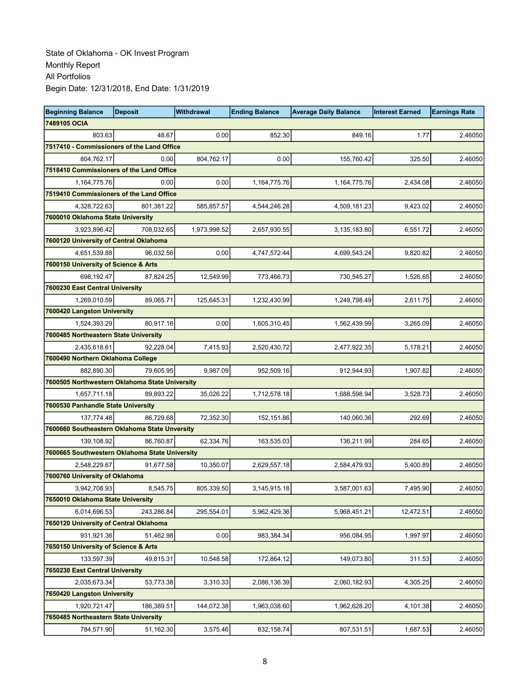| <b>Beginning Balance</b>                       | <b>Deposit</b> | <b>Withdrawal</b> | <b>Ending Balance</b> | <b>Average Daily Balance</b> | <b>Interest Earned</b> | <b>Earnings Rate</b> |
|------------------------------------------------|----------------|-------------------|-----------------------|------------------------------|------------------------|----------------------|
| 7489105 OCIA                                   |                |                   |                       |                              |                        |                      |
| 803.63                                         | 48.67          | 0.00              | 852.30                | 849.16                       | 1.77                   | 2.46050              |
| 7517410 - Commissioners of the Land Office     |                |                   |                       |                              |                        |                      |
| 804,762.17                                     | 0.00           | 804,762.17        | 0.00                  | 155.760.42                   | 325.50                 | 2.46050              |
| 7518410 Commissioners of the Land Office       |                |                   |                       |                              |                        |                      |
| 1,164,775.76                                   | 0.00           | 0.00              | 1,164,775.76          | 1,164,775.76                 | 2,434.08               | 2.46050              |
| 7519410 Commissioners of the Land Office       |                |                   |                       |                              |                        |                      |
| 4,328,722.63                                   | 801,381.22     | 585,857.57        | 4,544,246.28          | 4,509,181.23                 | 9,423.02               | 2.46050              |
| 7600010 Oklahoma State University              |                |                   |                       |                              |                        |                      |
| 3,923,896.42                                   | 708,032.65     | 1,973,998.52      | 2,657,930.55          | 3,135,183.80                 | 6,551.72               | 2.46050              |
| 7600120 University of Central Oklahoma         |                |                   |                       |                              |                        |                      |
| 4,651,539.88                                   | 96,032.56      | 0.00              | 4,747,572.44          | 4,699,543.24                 | 9,820.82               | 2.46050              |
| 7600150 University of Science & Arts           |                |                   |                       |                              |                        |                      |
| 698,192.47                                     | 87,824.25      | 12,549.99         | 773,466.73            | 730,545.27                   | 1,526.65               | 2.46050              |
| 7600230 East Central University                |                |                   |                       |                              |                        |                      |
| 1,269,010.59                                   | 89,065.71      | 125,645.31        | 1,232,430.99          | 1,249,798.49                 | 2,611.75               | 2.46050              |
| 7600420 Langston University                    |                |                   |                       |                              |                        |                      |
| 1,524,393.29                                   | 80,917.16      | 0.00              | 1,605,310.45          | 1,562,439.99                 | 3,265.09               | 2.46050              |
| 7600485 Northeastern State University          |                |                   |                       |                              |                        |                      |
| 2,435,618.61                                   | 92.228.04      | 7,415.93          | 2,520,430.72          | 2,477,922.35                 | 5,178.21               | 2.46050              |
| 7600490 Northern Oklahoma College              |                |                   |                       |                              |                        |                      |
| 882,890.30                                     | 79,605.95      | 9,987.09          | 952,509.16            | 912,944.93                   | 1,907.82               | 2.46050              |
| 7600505 Northwestern Oklahoma State University |                |                   |                       |                              |                        |                      |
| 1,657,711.18                                   | 89,893.22      | 35,026.22         | 1,712,578.18          | 1,688,598.94                 | 3,528.73               | 2.46050              |
| 7600530 Panhandle State University             |                |                   |                       |                              |                        |                      |
| 137,774.48                                     | 86,729.68      | 72,352.30         | 152,151.86            | 140,060.36                   | 292.69                 | 2.46050              |
| 7600660 Southeastern Oklahoma State Unversity  |                |                   |                       |                              |                        |                      |
| 139,108.92                                     | 86,760.87      | 62,334.76         | 163,535.03            | 136,211.99                   | 284.65                 | 2.46050              |
| 7600665 Southwestern Oklahoma State University |                |                   |                       |                              |                        |                      |
| 2,548,229.67                                   | 91,677.58      | 10,350.07         | 2,629,557.18          | 2,584,479.93                 | 5,400.89               | 2.46050              |
| 7600760 University of Oklahoma                 |                |                   |                       |                              |                        |                      |
| 3,942,708.93                                   | 8,545.75       | 805,339.50        | 3,145,915.18          | 3,587,001.63                 | 7,495.90               | 2.46050              |
| 7650010 Oklahoma State University              |                |                   |                       |                              |                        |                      |
| 6,014,696.53                                   | 243,286.84     | 295,554.01        | 5,962,429.36          | 5,968,451.21                 | 12,472.51              | 2.46050              |
| 7650120 University of Central Oklahoma         |                |                   |                       |                              |                        |                      |
| 931,921.36                                     | 51,462.98      | 0.00              | 983,384.34            | 956,084.95                   | 1,997.97               | 2.46050              |
| 7650150 University of Science & Arts           |                |                   |                       |                              |                        |                      |
| 133,597.39                                     | 49,815.31      | 10,548.58         | 172,864.12            | 149,073.80                   | 311.53                 | 2.46050              |
| 7650230 East Central University                |                |                   |                       |                              |                        |                      |
| 2,035,673.34                                   | 53,773.38      | 3,310.33          | 2,086,136.39          | 2,060,182.93                 | 4,305.25               | 2.46050              |
| 7650420 Langston University                    |                |                   |                       |                              |                        |                      |
| 1,920,721.47                                   | 186,389.51     | 144,072.38        | 1,963,038.60          | 1,962,628.20                 | 4,101.38               | 2.46050              |
| 7650485 Northeastern State University          |                |                   |                       |                              |                        |                      |
| 784,571.90                                     | 51,162.30      | 3,575.46          | 832, 158.74           | 807,531.51                   | 1,687.53               | 2.46050              |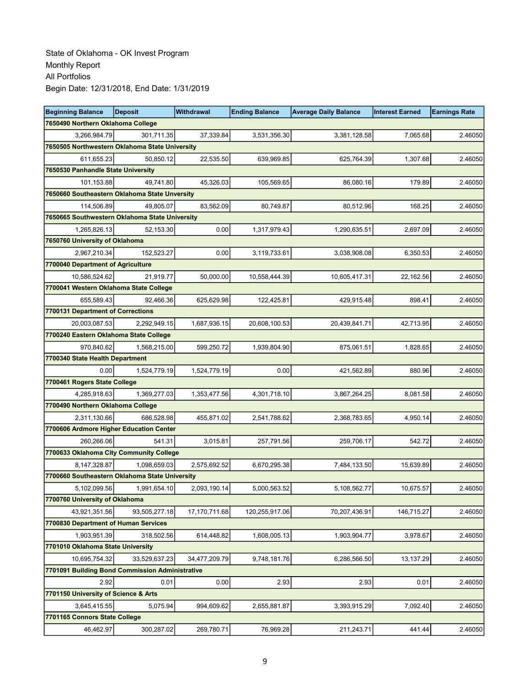| <b>Beginning Balance</b>                        | <b>Deposit</b> | <b>Withdrawal</b> | <b>Ending Balance</b> | <b>Average Daily Balance</b> | <b>Interest Earned</b> | <b>Earnings Rate</b> |
|-------------------------------------------------|----------------|-------------------|-----------------------|------------------------------|------------------------|----------------------|
| 7650490 Northern Oklahoma College               |                |                   |                       |                              |                        |                      |
| 3,266,984.79                                    | 301,711.35     | 37,339.84         | 3,531,356.30          | 3,381,128.58                 | 7,065.68               | 2.46050              |
| 7650505 Northwestern Oklahoma State University  |                |                   |                       |                              |                        |                      |
| 611,655.23                                      | 50,850.12      | 22,535.50         | 639,969.85            | 625,764.39                   | 1,307.68               | 2.46050              |
| 7650530 Panhandle State University              |                |                   |                       |                              |                        |                      |
| 101,153.88                                      | 49,741.80      | 45,326.03         | 105,569.65            | 86,080.16                    | 179.89                 | 2.46050              |
| 7650660 Southeastern Oklahoma State Unversity   |                |                   |                       |                              |                        |                      |
| 114.506.89                                      | 49,805.07      | 83,562.09         | 80,749.87             | 80,512.96                    | 168.25                 | 2.46050              |
| 7650665 Southwestern Oklahoma State University  |                |                   |                       |                              |                        |                      |
| 1,265,826.13                                    | 52,153.30      | 0.00              | 1,317,979.43          | 1,290,635.51                 | 2,697.09               | 2.46050              |
| 7650760 University of Oklahoma                  |                |                   |                       |                              |                        |                      |
| 2,967,210.34                                    | 152,523.27     | 0.00              | 3,119,733.61          | 3,038,908.08                 | 6,350.53               | 2.46050              |
| 7700040 Department of Agriculture               |                |                   |                       |                              |                        |                      |
| 10,586,524.62                                   | 21,919.77      | 50,000.00         | 10,558,444.39         | 10,605,417.31                | 22,162.56              | 2.46050              |
| 7700041 Western Oklahoma State College          |                |                   |                       |                              |                        |                      |
| 655,589.43                                      | 92,466.36      | 625,629.98        | 122,425.81            | 429,915.48                   | 898.41                 | 2.46050              |
| 7700131 Department of Corrections               |                |                   |                       |                              |                        |                      |
| 20,003,087.53                                   | 2,292,949.15   | 1,687,936.15      | 20,608,100.53         | 20,439,841.71                | 42,713.95              | 2.46050              |
| 7700240 Eastern Oklahoma State College          |                |                   |                       |                              |                        |                      |
| 970,840.62                                      | 1,568,215.00   | 599,250.72        | 1,939,804.90          | 875,061.51                   | 1,828.65               | 2.46050              |
| 7700340 State Health Department                 |                |                   |                       |                              |                        |                      |
| 0.00                                            | 1,524,779.19   | 1,524,779.19      | 0.00                  | 421,562.89                   | 880.96                 | 2.46050              |
| 7700461 Rogers State College                    |                |                   |                       |                              |                        |                      |
| 4,285,918.63                                    | 1,369,277.03   | 1,353,477.56      | 4,301,718.10          | 3,867,264.25                 | 8,081.58               | 2.46050              |
| 7700490 Northern Oklahoma College               |                |                   |                       |                              |                        |                      |
| 2,311,130.66                                    | 686,528.98     | 455,871.02        | 2,541,788.62          | 2,368,783.65                 | 4,950.14               | 2.46050              |
| 7700606 Ardmore Higher Education Center         |                |                   |                       |                              |                        |                      |
| 260,266.06                                      | 541.31         | 3,015.81          | 257,791.56            | 259,706.17                   | 542.72                 | 2.46050              |
| 7700633 Oklahoma City Community College         |                |                   |                       |                              |                        |                      |
| 8,147,328.87                                    | 1,098,659.03   | 2,575,692.52      | 6,670,295.38          | 7,484,133.50                 | 15,639.89              | 2.46050              |
| 7700660 Southeastern Oklahoma State University  |                |                   |                       |                              |                        |                      |
| 5,102,099.56                                    | 1,991,654.10   | 2,093,190.14      | 5,000,563.52          | 5,108,562.77                 | 10,675.57              | 2.46050              |
| 7700760 University of Oklahoma                  |                |                   |                       |                              |                        |                      |
| 43,921,351.56                                   | 93,505,277.18  | 17,170,711.68     | 120,255,917.06        | 70,207,436.91                | 146,715.27             | 2.46050              |
| 7700830 Department of Human Services            |                |                   |                       |                              |                        |                      |
| 1,903,951.39                                    | 318,502.56     | 614,448.82        | 1,608,005.13          | 1,903,904.77                 | 3,978.67               | 2.46050              |
| 7701010 Oklahoma State University               |                |                   |                       |                              |                        |                      |
| 10,695,754.32                                   | 33,529,637.23  | 34,477,209.79     | 9,748,181.76          | 6,286,566.50                 | 13, 137.29             | 2.46050              |
| 7701091 Building Bond Commission Administrative |                |                   |                       |                              |                        |                      |
| 2.92                                            | 0.01           | 0.00              | 2.93                  | 2.93                         | 0.01                   | 2.46050              |
| 7701150 University of Science & Arts            |                |                   |                       |                              |                        |                      |
| 3,645,415.55                                    | 5,075.94       | 994,609.62        | 2,655,881.87          | 3,393,915.29                 | 7,092.40               | 2.46050              |
| 7701165 Connors State College                   |                |                   |                       |                              |                        |                      |
| 46,462.97                                       | 300,287.02     | 269,780.71        | 76,969.28             | 211,243.71                   | 441.44                 | 2.46050              |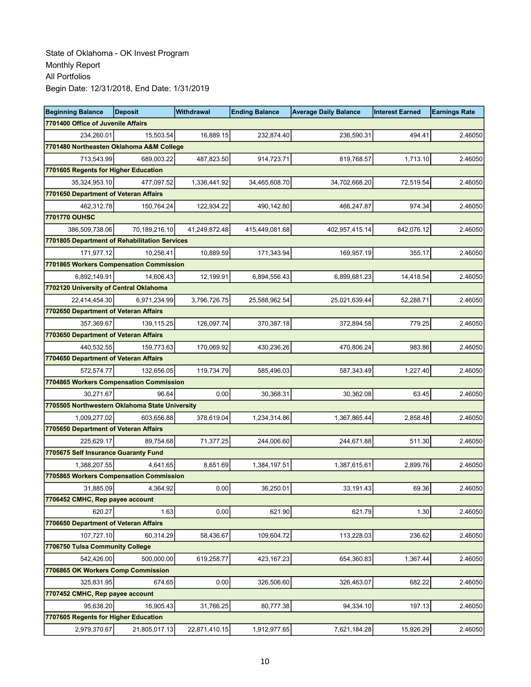| <b>Beginning Balance</b>                       | <b>Deposit</b> | Withdrawal    | <b>Ending Balance</b> | <b>Average Daily Balance</b> | <b>Interest Earned</b> | <b>Earnings Rate</b> |
|------------------------------------------------|----------------|---------------|-----------------------|------------------------------|------------------------|----------------------|
| 7701400 Office of Juvenile Affairs             |                |               |                       |                              |                        |                      |
| 234,260.01                                     | 15,503.54      | 16,889.15     | 232,874.40            | 236,590.31                   | 494.41                 | 2.46050              |
| 7701480 Northeasten Oklahoma A&M College       |                |               |                       |                              |                        |                      |
| 713,543.99                                     | 689,003.22     | 487,823.50    | 914,723.71            | 819,768.57                   | 1,713.10               | 2.46050              |
| 7701605 Regents for Higher Education           |                |               |                       |                              |                        |                      |
| 35,324,953.10                                  | 477,097.52     | 1,336,441.92  | 34,465,608.70         | 34,702,668.20                | 72,519.54              | 2.46050              |
| 7701650 Department of Veteran Affairs          |                |               |                       |                              |                        |                      |
| 462,312.78                                     | 150,764.24     | 122,934.22    | 490,142.80            | 466,247.87                   | 974.34                 | 2.46050              |
| 7701770 OUHSC                                  |                |               |                       |                              |                        |                      |
| 386,509,738.06                                 | 70,189,216.10  | 41,249,872.48 | 415,449,081.68        | 402,957,415.14               | 842,076.12             | 2.46050              |
| 7701805 Department of Rehabilitation Services  |                |               |                       |                              |                        |                      |
| 171,977.12                                     | 10,256.41      | 10,889.59     | 171,343.94            | 169,957.19                   | 355.17                 | 2.46050              |
| 7701865 Workers Compensation Commission        |                |               |                       |                              |                        |                      |
| 6,892,149.91                                   | 14.606.43      | 12,199.91     | 6,894,556.43          | 6,899,681.23                 | 14,418.54              | 2.46050              |
| 7702120 University of Central Oklahoma         |                |               |                       |                              |                        |                      |
| 22,414,454.30                                  | 6,971,234.99   | 3,796,726.75  | 25,588,962.54         | 25,021,639.44                | 52,288.71              | 2.46050              |
| 7702650 Department of Veteran Affairs          |                |               |                       |                              |                        |                      |
| 357,369.67                                     | 139,115.25     | 126,097.74    | 370,387.18            | 372,894.58                   | 779.25                 | 2.46050              |
| 7703650 Department of Veteran Affairs          |                |               |                       |                              |                        |                      |
| 440,532.55                                     | 159,773.63     | 170,069.92    | 430,236.26            | 470,806.24                   | 983.86                 | 2.46050              |
| 7704650 Department of Veteran Affairs          |                |               |                       |                              |                        |                      |
| 572,574.77                                     | 132,656.05     | 119,734.79    | 585,496.03            | 587,343.49                   | 1,227.40               | 2.46050              |
| 7704865 Workers Compensation Commission        |                |               |                       |                              |                        |                      |
| 30,271.67                                      | 96.64          | 0.00          | 30,368.31             | 30,362.08                    | 63.45                  | 2.46050              |
| 7705505 Northwestern Oklahoma State University |                |               |                       |                              |                        |                      |
| 1,009,277.02                                   | 603,656.88     | 378,619.04    | 1,234,314.86          | 1,367,865.44                 | 2,858.48               | 2.46050              |
| 7705650 Department of Veteran Affairs          |                |               |                       |                              |                        |                      |
| 225,629.17                                     | 89,754.68      | 71,377.25     | 244,006.60            | 244,671.88                   | 511.30                 | 2.46050              |
| 7705675 Self Insurance Guaranty Fund           |                |               |                       |                              |                        |                      |
| 1,388,207.55                                   | 4,641.65       | 8,651.69      | 1,384,197.51          | 1,387,615.61                 | 2,899.76               | 2.46050              |
| 7705865 Workers Compensation Commission        |                |               |                       |                              |                        |                      |
| 31,885.09                                      | 4,364.92       | 0.00          | 36,250.01             | 33,191.43                    | 69.36                  | 2.46050              |
| 7706452 CMHC, Rep payee account                |                |               |                       |                              |                        |                      |
| 620.27                                         | 1.63           | 0.00          | 621.90                | 621.79                       | 1.30                   | 2.46050              |
| 7706650 Department of Veteran Affairs          |                |               |                       |                              |                        |                      |
| 107,727.10                                     | 60,314.29      | 58,436.67     | 109,604.72            | 113,228.03                   | 236.62                 | 2.46050              |
| 7706750 Tulsa Community College                |                |               |                       |                              |                        |                      |
| 542,426.00                                     | 500,000.00     | 619,258.77    | 423, 167.23           | 654,360.83                   | 1,367.44               | 2.46050              |
| 7706865 OK Workers Comp Commission             |                |               |                       |                              |                        |                      |
| 325,831.95                                     | 674.65         | 0.00          | 326,506.60            | 326,463.07                   | 682.22                 | 2.46050              |
| 7707452 CMHC, Rep payee account                |                |               |                       |                              |                        |                      |
| 95,638.20                                      | 16,905.43      | 31,766.25     | 80,777.38             | 94,334.10                    | 197.13                 | 2.46050              |
| 7707605 Regents for Higher Education           |                |               |                       |                              |                        |                      |
| 2,979,370.67                                   | 21,805,017.13  | 22,871,410.15 | 1,912,977.65          | 7,621,184.28                 | 15,926.29              | 2.46050              |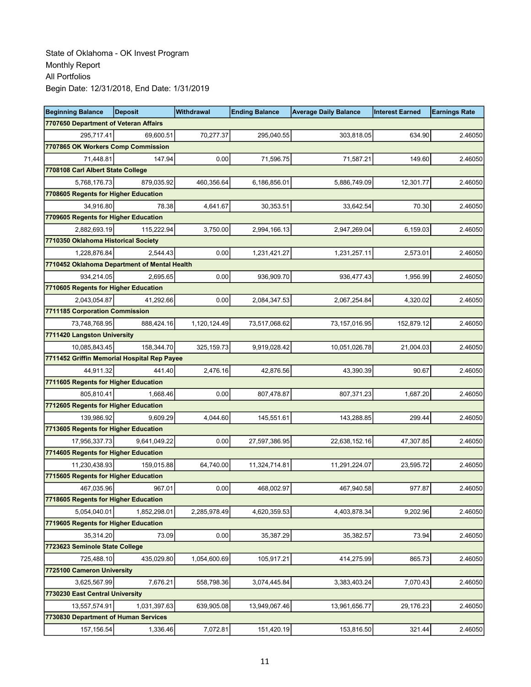| <b>Beginning Balance</b>                     | <b>Deposit</b> | <b>Withdrawal</b> | <b>Ending Balance</b> | <b>Average Daily Balance</b> | <b>Interest Earned</b> | <b>Earnings Rate</b> |  |  |
|----------------------------------------------|----------------|-------------------|-----------------------|------------------------------|------------------------|----------------------|--|--|
| 7707650 Department of Veteran Affairs        |                |                   |                       |                              |                        |                      |  |  |
| 295.717.41                                   | 69,600.51      | 70,277.37         | 295,040.55            | 303,818.05                   | 634.90                 | 2.46050              |  |  |
| 7707865 OK Workers Comp Commission           |                |                   |                       |                              |                        |                      |  |  |
| 71,448.81                                    | 147.94         | 0.00              | 71,596.75             | 71,587.21                    | 149.60                 | 2.46050              |  |  |
| 7708108 Carl Albert State College            |                |                   |                       |                              |                        |                      |  |  |
| 5,768,176.73                                 | 879,035.92     | 460,356.64        | 6,186,856.01          | 5,886,749.09                 | 12,301.77              | 2.46050              |  |  |
| 7708605 Regents for Higher Education         |                |                   |                       |                              |                        |                      |  |  |
| 34.916.80                                    | 78.38          | 4,641.67          | 30,353.51             | 33,642.54                    | 70.30                  | 2.46050              |  |  |
| 7709605 Regents for Higher Education         |                |                   |                       |                              |                        |                      |  |  |
| 2,882,693.19                                 | 115,222.94     | 3.750.00          | 2,994,166.13          | 2,947,269.04                 | 6,159.03               | 2.46050              |  |  |
| 7710350 Oklahoma Historical Society          |                |                   |                       |                              |                        |                      |  |  |
| 1,228,876.84                                 | 2,544.43       | 0.00              | 1,231,421.27          | 1,231,257.11                 | 2,573.01               | 2.46050              |  |  |
| 7710452 Oklahoma Department of Mental Health |                |                   |                       |                              |                        |                      |  |  |
| 934,214.05                                   | 2,695.65       | 0.00              | 936,909.70            | 936,477.43                   | 1,956.99               | 2.46050              |  |  |
| 7710605 Regents for Higher Education         |                |                   |                       |                              |                        |                      |  |  |
| 2,043,054.87                                 | 41,292.66      | 0.00              | 2,084,347.53          | 2,067,254.84                 | 4,320.02               | 2.46050              |  |  |
| 7711185 Corporation Commission               |                |                   |                       |                              |                        |                      |  |  |
| 73,748,768.95                                | 888,424.16     | 1,120,124.49      | 73,517,068.62         | 73,157,016.95                | 152,879.12             | 2.46050              |  |  |
| 7711420 Langston University                  |                |                   |                       |                              |                        |                      |  |  |
| 10,085,843.45                                | 158,344.70     | 325,159.73        | 9,919,028.42          | 10,051,026.78                | 21,004.03              | 2.46050              |  |  |
| 7711452 Griffin Memorial Hospital Rep Payee  |                |                   |                       |                              |                        |                      |  |  |
| 44,911.32                                    | 441.40         | 2,476.16          | 42,876.56             | 43,390.39                    | 90.67                  | 2.46050              |  |  |
| 7711605 Regents for Higher Education         |                |                   |                       |                              |                        |                      |  |  |
| 805,810.41                                   | 1,668.46       | 0.00              | 807,478.87            | 807,371.23                   | 1,687.20               | 2.46050              |  |  |
| 7712605 Regents for Higher Education         |                |                   |                       |                              |                        |                      |  |  |
| 139,986.92                                   | 9,609.29       | 4,044.60          | 145,551.61            | 143,288.85                   | 299.44                 | 2.46050              |  |  |
| 7713605 Regents for Higher Education         |                |                   |                       |                              |                        |                      |  |  |
| 17,956,337.73                                | 9,641,049.22   | 0.00              | 27,597,386.95         | 22,638,152.16                | 47,307.85              | 2.46050              |  |  |
| 7714605 Regents for Higher Education         |                |                   |                       |                              |                        |                      |  |  |
| 11.230.438.93                                | 159,015.88     | 64,740.00         | 11,324,714.81         | 11,291,224.07                | 23,595.72              | 2.46050              |  |  |
| 7715605 Regents for Higher Education         |                |                   |                       |                              |                        |                      |  |  |
| 467,035.96                                   | 967.01         | 0.00              | 468,002.97            | 467,940.58                   | 977.87                 | 2.46050              |  |  |
| 7718605 Regents for Higher Education         |                |                   |                       |                              |                        |                      |  |  |
| 5,054,040.01                                 | 1,852,298.01   | 2,285,978.49      | 4,620,359.53          | 4,403,878.34                 | 9.202.96               | 2.46050              |  |  |
| 7719605 Regents for Higher Education         |                |                   |                       |                              |                        |                      |  |  |
| 35,314.20                                    | 73.09          | 0.00              | 35,387.29             | 35,382.57                    | 73.94                  | 2.46050              |  |  |
| 7723623 Seminole State College               |                |                   |                       |                              |                        |                      |  |  |
| 725,488.10                                   | 435,029.80     | 1,054,600.69      | 105,917.21            | 414,275.99                   | 865.73                 | 2.46050              |  |  |
| 7725100 Cameron University                   |                |                   |                       |                              |                        |                      |  |  |
| 3,625,567.99                                 | 7,676.21       | 558,798.36        | 3,074,445.84          | 3,383,403.24                 | 7,070.43               | 2.46050              |  |  |
| 7730230 East Central University              |                |                   |                       |                              |                        |                      |  |  |
| 13,557,574.91                                | 1,031,397.63   | 639,905.08        | 13,949,067.46         | 13,961,656.77                | 29,176.23              | 2.46050              |  |  |
| 7730830 Department of Human Services         |                |                   |                       |                              |                        |                      |  |  |
| 157,156.54                                   | 1,336.46       | 7,072.81          | 151,420.19            | 153,816.50                   | 321.44                 | 2.46050              |  |  |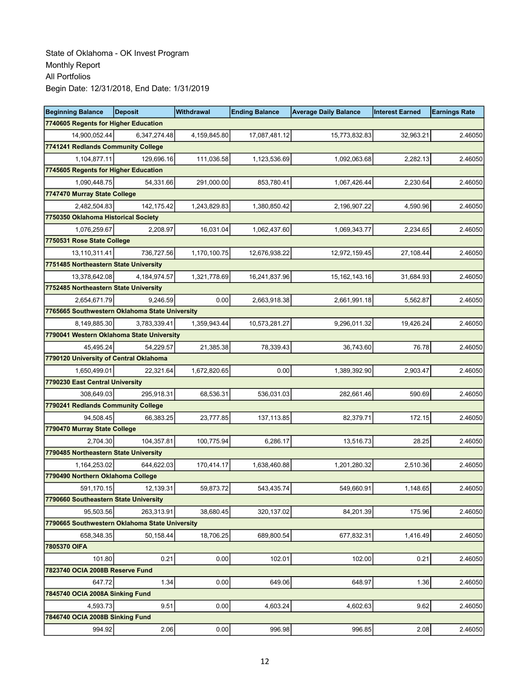| <b>Beginning Balance</b>                       | <b>Deposit</b> | <b>Withdrawal</b> | <b>Ending Balance</b> | <b>Average Daily Balance</b> | <b>Interest Earned</b> | <b>Earnings Rate</b> |
|------------------------------------------------|----------------|-------------------|-----------------------|------------------------------|------------------------|----------------------|
| 7740605 Regents for Higher Education           |                |                   |                       |                              |                        |                      |
| 14,900,052.44                                  | 6,347,274.48   | 4,159,845.80      | 17,087,481.12         | 15,773,832.83                | 32,963.21              | 2.46050              |
| 7741241 Redlands Community College             |                |                   |                       |                              |                        |                      |
| 1,104,877.11                                   | 129,696.16     | 111,036.58        | 1,123,536.69          | 1,092,063.68                 | 2,282.13               | 2.46050              |
| 7745605 Regents for Higher Education           |                |                   |                       |                              |                        |                      |
| 1,090,448.75                                   | 54,331.66      | 291,000.00        | 853,780.41            | 1,067,426.44                 | 2,230.64               | 2.46050              |
| 7747470 Murray State College                   |                |                   |                       |                              |                        |                      |
| 2,482,504.83                                   | 142,175.42     | 1,243,829.83      | 1,380,850.42          | 2,196,907.22                 | 4,590.96               | 2.46050              |
| 7750350 Oklahoma Historical Society            |                |                   |                       |                              |                        |                      |
| 1,076,259.67                                   | 2,208.97       | 16,031.04         | 1,062,437.60          | 1,069,343.77                 | 2,234.65               | 2.46050              |
| 7750531 Rose State College                     |                |                   |                       |                              |                        |                      |
| 13,110,311.41                                  | 736,727.56     | 1,170,100.75      | 12,676,938.22         | 12,972,159.45                | 27,108.44              | 2.46050              |
| 7751485 Northeastern State University          |                |                   |                       |                              |                        |                      |
| 13,378,642.08                                  | 4,184,974.57   | 1,321,778.69      | 16,241,837.96         | 15, 162, 143. 16             | 31,684.93              | 2.46050              |
| 7752485 Northeastern State University          |                |                   |                       |                              |                        |                      |
| 2,654,671.79                                   | 9,246.59       | 0.00              | 2,663,918.38          | 2,661,991.18                 | 5,562.87               | 2.46050              |
| 7765665 Southwestern Oklahoma State University |                |                   |                       |                              |                        |                      |
| 8,149,885.30                                   | 3,783,339.41   | 1,359,943.44      | 10,573,281.27         | 9,296,011.32                 | 19,426.24              | 2.46050              |
| 7790041 Western Oklahoma State University      |                |                   |                       |                              |                        |                      |
| 45,495.24                                      | 54,229.57      | 21,385.38         | 78,339.43             | 36.743.60                    | 76.78                  | 2.46050              |
| 7790120 University of Central Oklahoma         |                |                   |                       |                              |                        |                      |
| 1,650,499.01                                   | 22,321.64      | 1,672,820.65      | 0.00                  | 1,389,392.90                 | 2,903.47               | 2.46050              |
| 7790230 East Central University                |                |                   |                       |                              |                        |                      |
| 308,649.03                                     | 295,918.31     | 68,536.31         | 536,031.03            | 282,661.46                   | 590.69                 | 2.46050              |
| 7790241 Redlands Community College             |                |                   |                       |                              |                        |                      |
| 94,508.45                                      | 66,383.25      | 23,777.85         | 137, 113.85           | 82,379.71                    | 172.15                 | 2.46050              |
| 7790470 Murray State College                   |                |                   |                       |                              |                        |                      |
| 2,704.30                                       | 104,357.81     | 100,775.94        | 6,286.17              | 13,516.73                    | 28.25                  | 2.46050              |
| 7790485 Northeastern State University          |                |                   |                       |                              |                        |                      |
| 1,164,253.02                                   | 644,622.03     | 170,414.17        | 1,638,460.88          | 1,201,280.32                 | 2,510.36               | 2.46050              |
| 7790490 Northern Oklahoma College              |                |                   |                       |                              |                        |                      |
| 591,170.15                                     | 12,139.31      | 59,873.72         | 543,435.74            | 549,660.91                   | 1,148.65               | 2.46050              |
| 7790660 Southeastern State University          |                |                   |                       |                              |                        |                      |
| 95.503.56                                      | 263,313.91     | 38,680.45         | 320, 137.02           | 84,201.39                    | 175.96                 | 2.46050              |
| 7790665 Southwestern Oklahoma State University |                |                   |                       |                              |                        |                      |
| 658,348.35                                     | 50,158.44      | 18,706.25         | 689,800.54            | 677,832.31                   | 1,416.49               | 2.46050              |
| 7805370 OIFA                                   |                |                   |                       |                              |                        |                      |
| 101.80                                         | 0.21           | 0.00              | 102.01                | 102.00                       | 0.21                   | 2.46050              |
| 7823740 OCIA 2008B Reserve Fund                |                |                   |                       |                              |                        |                      |
| 647.72                                         | 1.34           | 0.00              | 649.06                | 648.97                       | 1.36                   | 2.46050              |
| 7845740 OCIA 2008A Sinking Fund                |                |                   |                       |                              |                        |                      |
| 4,593.73                                       | 9.51           | 0.00              | 4,603.24              | 4,602.63                     | 9.62                   | 2.46050              |
| 7846740 OCIA 2008B Sinking Fund                |                |                   |                       |                              |                        |                      |
| 994.92                                         | 2.06           | 0.00              | 996.98                | 996.85                       | 2.08                   | 2.46050              |